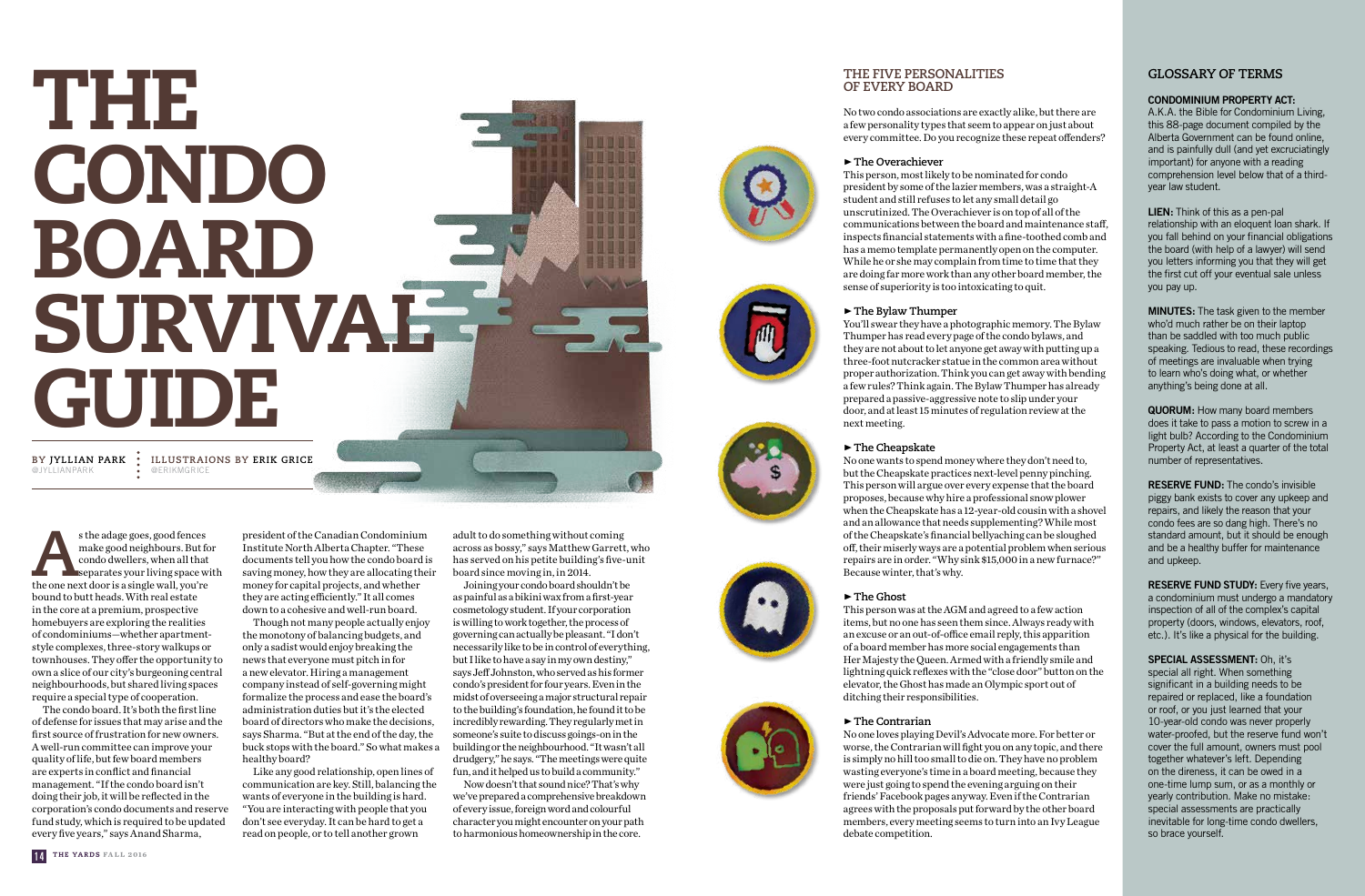#### **GLOSSARY OF TERMS**

**CONDOMINIUM PROPERTY ACT:**

A.K.A. the Bible for Condominium Living, this 88-page document compiled by the Alberta Government can be found online, and is painfully dull (and yet excruciatingly important) for anyone with a reading comprehension level below that of a thirdyear law student.

**LIEN:** Think of this as a pen-pal relationship with an eloquent loan shark. If you fall behind on your financial obligations the board (with help of a lawyer) will send you letters informing you that they will get the first cut off your eventual sale unless you pay up.

**RESERVE FUND:** The condo's invisible piggy bank exists to cover any upkeep and repairs, and likely the reason that your condo fees are so dang high. There's no standard amount, but it should be enough and be a healthy buffer for maintenance and upkeep.

**MINUTES:** The task given to the member who'd much rather be on their laptop than be saddled with too much public speaking. Tedious to read, these recordings of meetings are invaluable when trying to learn who's doing what, or whether anything's being done at all.

**RESERVE FUND STUDY:** Every five years, a condominium must undergo a mandatory inspection of all of the complex's capital property (doors, windows, elevators, roof, etc.). It's like a physical for the building.

**QUORUM:** How many board members does it take to pass a motion to screw in a light bulb? According to the Condominium Property Act, at least a quarter of the total number of representatives.

s the adage goes, good fences<br>
make good neighbours. But for<br>
condo dwellers, when all that<br>
separates your living space w.<br>
the one next door is a single wall, you're make good neighbours. But for condo dwellers, when all that separates your living space with bound to butt heads. With real estate in the core at a premium, prospective homebuyers are exploring the realities of condominiums—whether apartmentstyle complexes, three-story walkups or townhouses. They offer the opportunity to own a slice of our city's burgeoning central neighbourhoods, but shared living spaces require a special type of cooperation.

@JYLLIANPARK

**SPECIAL ASSESSMENT:** Oh, it's special all right. When something significant in a building needs to be repaired or replaced, like a foundation or roof, or you just learned that your 10-year-old condo was never properly water-proofed, but the reserve fund won't cover the full amount, owners must pool together whatever's left. Depending on the direness, it can be owed in a one-time lump sum, or as a monthly or yearly contribution. Make no mistake: special assessments are practically inevitable for long-time condo dwellers, so brace yourself.

# THE CONDO BOARD SURVIVAE GUIDE

The condo board. It's both the first line of defense for issues that may arise and the first source of frustration for new owners. A well-run committee can improve your quality of life, but few board members are experts in conflict and financial management. "If the condo board isn't doing their job, it will be reflected in the corporation's condo documents and reserve fund study, which is required to be updated every five years," says Anand Sharma,

#### **THE FIVE PERSONALITIES OF EVERY BOARD**

No two condo associations are exactly alike, but there are a few personality types that seem to appear on just about every committee. Do you recognize these repeat offenders?

#### •**The Overachiever**

This person, most likely to be nominated for condo president by some of the lazier members, was a straight-A student and still refuses to let any small detail go unscrutinized. The Overachiever is on top of all of the communications between the board and maintenance staff, inspects financial statements with a fine-toothed comb and has a memo template permanently open on the computer. While he or she may complain from time to time that they are doing far more work than any other board member, the sense of superiority is too intoxicating to quit.

#### •**The Bylaw Thumper**

You'll swear they have a photographic memory. The Bylaw Thumper has read every page of the condo bylaws, and they are not about to let anyone get away with putting up a three-foot nutcracker statue in the common area without proper authorization. Think you can get away with bending a few rules? Think again. The Bylaw Thumper has already prepared a passive-aggressive note to slip under your door, and at least 15 minutes of regulation review at the next meeting.

#### •**The Cheapskate**

No one wants to spend money where they don't need to, but the Cheapskate practices next-level penny pinching. This person will argue over every expense that the board proposes, because why hire a professional snow plower when the Cheapskate has a 12-year-old cousin with a shovel and an allowance that needs supplementing? While most of the Cheapskate's financial bellyaching can be sloughed off, their miserly ways are a potential problem when serious repairs are in order. "Why sink \$15,000 in a new furnace?" Because winter, that's why.

#### •**The Ghost**

This person was at the AGM and agreed to a few action items, but no one has seen them since. Always ready with an excuse or an out-of-office email reply, this apparition of a board member has more social engagements than Her Majesty the Queen. Armed with a friendly smile and lightning quick reflexes with the "close door" button on the elevator, the Ghost has made an Olympic sport out of ditching their responsibilities.

#### •**The Contrarian**

No one loves playing Devil's Advocate more. For better or worse, the Contrarian will fight you on any topic, and there is simply no hill too small to die on. They have no problem wasting everyone's time in a board meeting, because they were just going to spend the evening arguing on their friends' Facebook pages anyway. Even if the Contrarian agrees with the proposals put forward by the other board members, every meeting seems to turn into an Ivy League debate competition.

president of the Canadian Condominium Institute North Alberta Chapter. "These documents tell you how the condo board is saving money, how they are allocating their money for capital projects, and whether they are acting efficiently." It all comes down to a cohesive and well-run board.

Though not many people actually enjoy the monotony of balancing budgets, and only a sadist would enjoy breaking the news that everyone must pitch in for a new elevator. Hiring a management company instead of self-governing might formalize the process and ease the board's administration duties but it's the elected board of directors who make the decisions, says Sharma. "But at the end of the day, the buck stops with the board." So what makes a healthy board?

Like any good relationship, open lines of communication are key. Still, balancing the wants of everyone in the building is hard. "You are interacting with people that you don't see everyday. It can be hard to get a read on people, or to tell another grown

adult to do something without coming across as bossy," says Matthew Garrett, who has served on his petite building's five-unit board since moving in, in 2014.

Joining your condo board shouldn't be as painful as a bikini wax from a first-year cosmetology student. If your corporation is willing to work together, the process of governing can actually be pleasant. "I don't necessarily like to be in control of everything, but I like to have a say in my own destiny," says Jeff Johnston, who served as his former condo's president for four years. Even in the midst of overseeing a major structural repair to the building's foundation, he found it to be incredibly rewarding. They regularly met in someone's suite to discuss goings-on in the building or the neighbourhood. "It wasn't all drudgery," he says. "The meetings were quite fun, and it helped us to build a community."

Now doesn't that sound nice? That's why we've prepared a comprehensive breakdown of every issue, foreign word and colourful character you might encounter on your path to harmonious homeownership in the core.











**BY JYLLIAN PARK ILLUSTRAIONS BY ERIK GRICE** @ERIKMGRICE